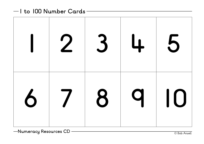| 1 2 3 4 5  |  |  |
|------------|--|--|
| 6 7 8 9 10 |  |  |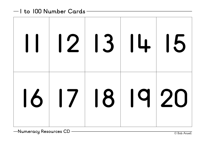|                |  | 11 12 13 14 15 |
|----------------|--|----------------|
| 16 17 18 19 20 |  |                |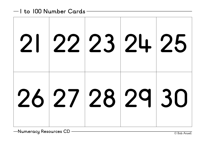| 21 22 23 24 25 |  |  |
|----------------|--|--|
| 26 27 28 29 30 |  |  |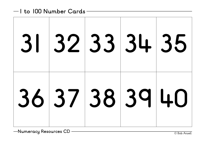|  |  | 31 32 33 34 35 |
|--|--|----------------|
|  |  | 36 37 38 39 40 |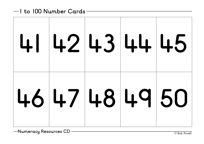|  |  | 41 42 43 44 45   |
|--|--|------------------|
|  |  | $46$ 47 48 49 50 |

**Numeracy Resources CD** — <u>Canadian Community Computer</u> Computer Computer Computer Computer Computer Computer Computer Computer Computer Computer Computer Computer Computer Computer Computer Computer Computer Computer Comp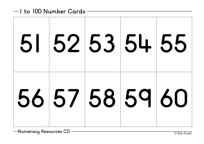| 51 52 53 54 55 |  |  |
|----------------|--|--|
| 56 57 58 59 60 |  |  |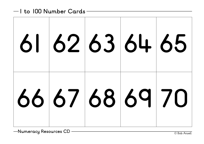| 61 62 63 64 65 |  |  |
|----------------|--|--|
| 66 67 68 69 70 |  |  |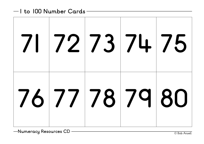| 71 72 73 74 75 |  |  |
|----------------|--|--|
| 76 77 78 79 80 |  |  |

**Numeracy Resources CD** — <u>Canadian Community Computer</u> Computer Computer Computer Computer Computer Computer Computer Computer Computer Computer Computer Computer Computer Computer Computer Computer Computer Computer Comp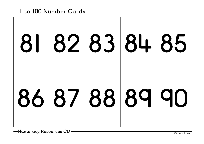| 81 82 83 84 85 |  |  |
|----------------|--|--|
| 86 87 88 89 90 |  |  |